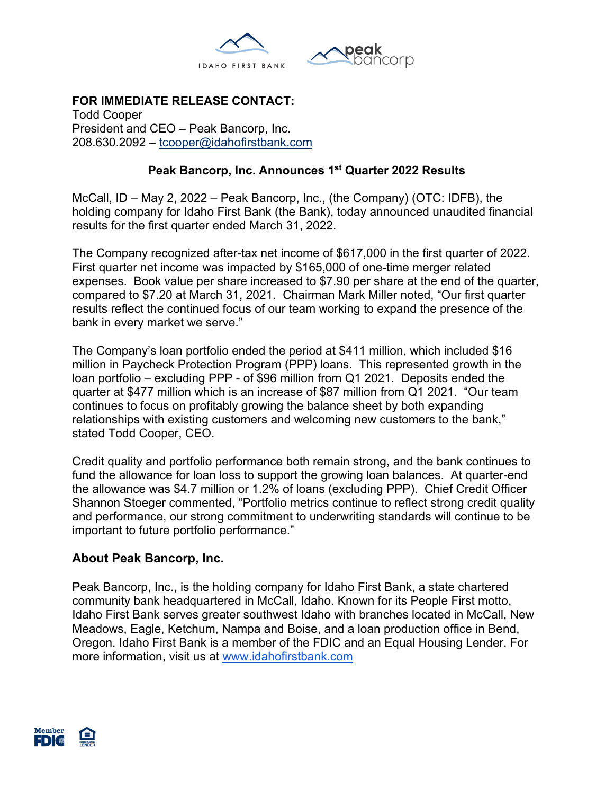

# **FOR IMMEDIATE RELEASE CONTACT:**

Todd Cooper President and CEO – Peak Bancorp, Inc. 208.630.2092 – tcooper@idahofirstbank.com

### **Peak Bancorp, Inc. Announces 1st Quarter 2022 Results**

McCall, ID – May 2, 2022 – Peak Bancorp, Inc., (the Company) (OTC: IDFB), the holding company for Idaho First Bank (the Bank), today announced unaudited financial results for the first quarter ended March 31, 2022.

The Company recognized after-tax net income of \$617,000 in the first quarter of 2022. First quarter net income was impacted by \$165,000 of one-time merger related expenses. Book value per share increased to \$7.90 per share at the end of the quarter, compared to \$7.20 at March 31, 2021. Chairman Mark Miller noted, "Our first quarter results reflect the continued focus of our team working to expand the presence of the bank in every market we serve."

The Company's loan portfolio ended the period at \$411 million, which included \$16 million in Paycheck Protection Program (PPP) loans. This represented growth in the loan portfolio – excluding PPP - of \$96 million from Q1 2021. Deposits ended the quarter at \$477 million which is an increase of \$87 million from Q1 2021. "Our team continues to focus on profitably growing the balance sheet by both expanding relationships with existing customers and welcoming new customers to the bank," stated Todd Cooper, CEO.

Credit quality and portfolio performance both remain strong, and the bank continues to fund the allowance for loan loss to support the growing loan balances. At quarter-end the allowance was \$4.7 million or 1.2% of loans (excluding PPP). Chief Credit Officer Shannon Stoeger commented, "Portfolio metrics continue to reflect strong credit quality and performance, our strong commitment to underwriting standards will continue to be important to future portfolio performance."

## **About Peak Bancorp, Inc.**

Peak Bancorp, Inc., is the holding company for Idaho First Bank, a state chartered community bank headquartered in McCall, Idaho. Known for its People First motto, Idaho First Bank serves greater southwest Idaho with branches located in McCall, New Meadows, Eagle, Ketchum, Nampa and Boise, and a loan production office in Bend, Oregon. Idaho First Bank is a member of the FDIC and an Equal Housing Lender. For more information, visit us at www.idahofirstbank.com

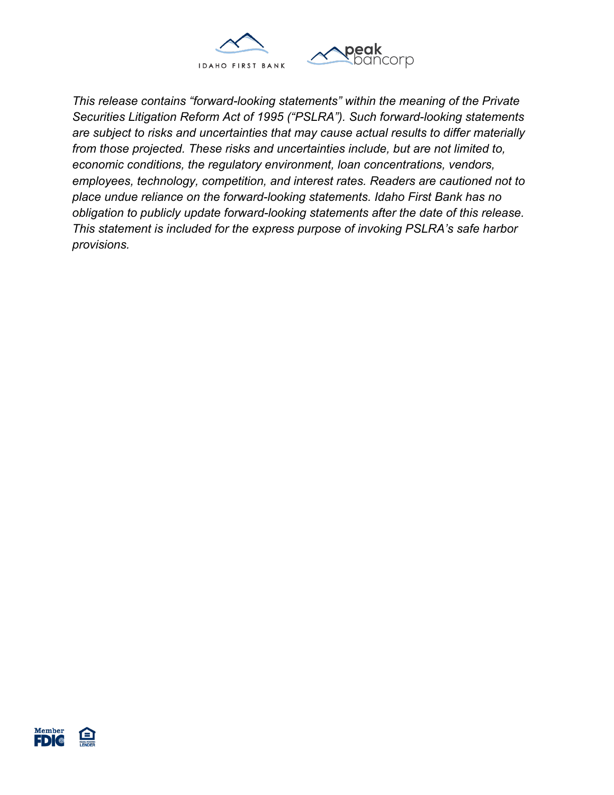

*This release contains "forward-looking statements" within the meaning of the Private Securities Litigation Reform Act of 1995 ("PSLRA"). Such forward-looking statements are subject to risks and uncertainties that may cause actual results to differ materially from those projected. These risks and uncertainties include, but are not limited to, economic conditions, the regulatory environment, loan concentrations, vendors, employees, technology, competition, and interest rates. Readers are cautioned not to place undue reliance on the forward-looking statements. Idaho First Bank has no obligation to publicly update forward-looking statements after the date of this release. This statement is included for the express purpose of invoking PSLRA's safe harbor provisions.*

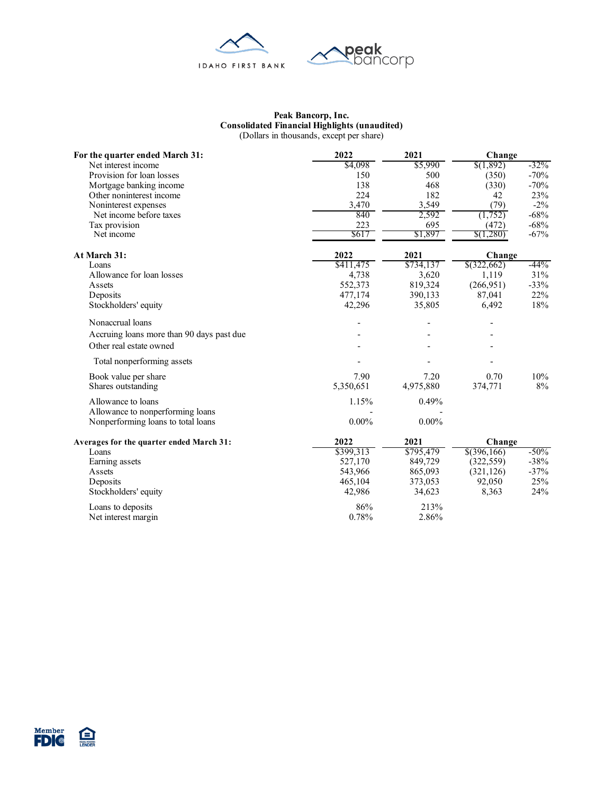

#### **Peak Bancorp, Inc. Consolidated Financial Highlights (unaudited)** (Dollars in thousands, except per share)

| For the quarter ended March 31:           | 2022      | 2021      | Change        |         |  |
|-------------------------------------------|-----------|-----------|---------------|---------|--|
| Net interest income                       | \$4,098   | \$5,990   | \$(1,892)     | $-32%$  |  |
| Provision for loan losses                 | 150       | 500       | (350)         | $-70%$  |  |
| Mortgage banking income                   | 138       | 468       | (330)         | $-70%$  |  |
| Other noninterest income                  | 224       | 182       | 42            | 23%     |  |
| Noninterest expenses                      | 3,470     | 3,549     | (79)          | $-2\%$  |  |
| Net income before taxes                   | 840       | 2,592     | (1,752)       | $-68%$  |  |
| Tax provision                             | 223       | 695       | (472)         | $-68%$  |  |
| Net income                                | \$617     | \$1,897   | \$(1,280)     | $-67%$  |  |
| At March 31:                              | 2022      | 2021      | Change        |         |  |
| Loans                                     | \$411,475 | \$734,137 | \$(322,662)   | $-44%$  |  |
| Allowance for loan losses                 | 4,738     | 3,620     | 1,119         | 31%     |  |
| Assets                                    | 552,373   | 819,324   | (266,951)     | $-33%$  |  |
| Deposits                                  | 477,174   | 390,133   | 87,041        | 22%     |  |
| Stockholders' equity                      | 42,296    | 35,805    | 6,492         | 18%     |  |
| Nonaccrual loans                          |           |           |               |         |  |
| Accruing loans more than 90 days past due |           |           |               |         |  |
| Other real estate owned                   |           |           |               |         |  |
| Total nonperforming assets                |           |           |               |         |  |
| Book value per share                      | 7.90      | 7.20      | 0.70          | 10%     |  |
| Shares outstanding                        | 5,350,651 | 4,975,880 | 374,771       | 8%      |  |
| Allowance to loans                        | 1.15%     | 0.49%     |               |         |  |
| Allowance to nonperforming loans          |           |           |               |         |  |
| Nonperforming loans to total loans        | $0.00\%$  | $0.00\%$  |               |         |  |
| Averages for the quarter ended March 31:  | 2022      | 2021      | Change        |         |  |
| Loans                                     | \$399,313 | \$795,479 | $$$ (396,166) | $-50\%$ |  |
| Earning assets                            | 527,170   | 849,729   | (322, 559)    | $-38%$  |  |
| Assets                                    | 543,966   | 865,093   | (321, 126)    | $-37%$  |  |
| Deposits                                  | 465,104   | 373,053   | 92,050        | 25%     |  |
| Stockholders' equity                      | 42,986    | 34,623    | 8,363         | 24%     |  |
| Loans to deposits                         | 86%       | 213%      |               |         |  |
| Net interest margin                       | 0.78%     | 2.86%     |               |         |  |